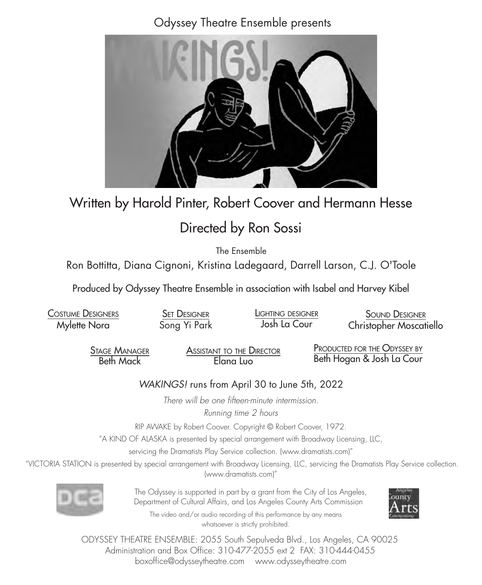Odyssey Theatre Ensemble presents



## Written by Harold Pinter, Robert Coover and Hermann Hesse

# Directed by Ron Sossi

The Ensemble

Ron Bottitta, Diana Cignoni, Kristina Ladegaard, Darrell Larson, C.J. O'Toole

Produced by Odyssey Theatre Ensemble in association with Isabel and Harvey Kibel

Costume Designers Mylette Nora SET DESIGNER Song Yi Park SOUND DESIGNER Christopher Moscatiello Lighting designer Josh La Cour

> Stage Manager Beth Mack

Assistant to the Director Elana Luo

PRODUCTED FOR THE ODYSSEY BY Beth Hogan & Josh La Cour

## *WAKINGS!* runs from April 30 to June 5th, 2022

*There will be one fifteen-minute intermission. Running time 2 hours*

RIP AWAKE by Robert Coover. Copyright © Robert Coover, 1972.

"A KIND OF ALASKA is presented by special arrangement with Broadway Licensing, LLC,

servicing the Dramatists Play Service collection. (www.dramatists.com)"

 "VICTORIA STATION is presented by special arrangement with Broadway Licensing, LLC, servicing the Dramatists Play Service collection. (www.dramatists.com)"



 The Odyssey is supported in part by a grant from the City of Los Angeles, Department of Cultural Affairs, and Los Angeles County Arts Commission

The video and/or audio recording of this performance by any means whatsoever is strictly prohibited.



ODYSSEY THEATRE ENSEMBLE: 2055 South Sepulveda Blvd., Los Angeles, CA 90025 Administration and Box Office: 310-477-2055 ext 2 FAX: 310-444-0455 boxoffice@odysseytheatre.com www.odysseytheatre.com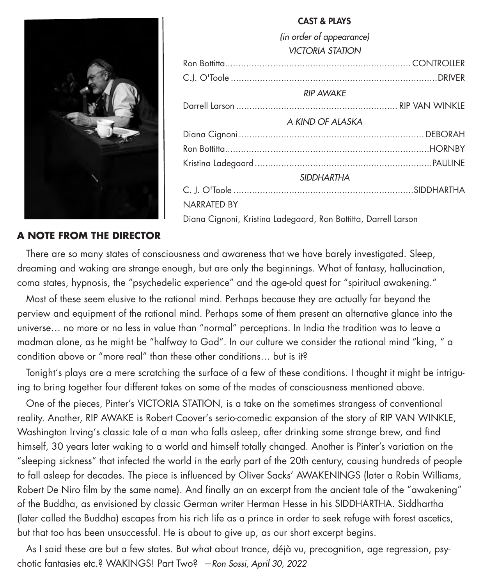

## CAST & PLAYS *(in order of appearance) VICTORIA STATION* Ron Bottitta...................................................................... CONTROLLER C.J. O'Toole ..............................................................................DRIVER *RIP AWAKE* Darrell Larson ............................................................. RIP VAN WINKLE *A KIND OF ALASKA* Diana Cignoni......................................................................DEBORAH Ron Bottitta.............................................................................HORNBY Kristina Ladegaard...................................................................PAULINE *SIDDHARTHA* C. J. O'Toole ....................................................................SIDDHARTHA NARRATED BY

Diana Cignoni, Kristina Ladegaard, Ron Bottitta, Darrell Larson

## **A NOTE FROM THE DIRECTOR**

 There are so many states of consciousness and awareness that we have barely investigated. Sleep, dreaming and waking are strange enough, but are only the beginnings. What of fantasy, hallucination, coma states, hypnosis, the "psychedelic experience" and the age-old quest for "spiritual awakening."

 Most of these seem elusive to the rational mind. Perhaps because they are actually far beyond the perview and equipment of the rational mind. Perhaps some of them present an alternative glance into the universe… no more or no less in value than "normal" perceptions. In India the tradition was to leave a madman alone, as he might be "halfway to God". In our culture we consider the rational mind "king, " a condition above or "more real" than these other conditions… but is it?

 Tonight's plays are a mere scratching the surface of a few of these conditions. I thought it might be intriguing to bring together four different takes on some of the modes of consciousness mentioned above.

 One of the pieces, Pinter's VICTORIA STATION, is a take on the sometimes strangess of conventional reality. Another, RIP AWAKE is Robert Coover's serio-comedic expansion of the story of RIP VAN WINKLE, Washington Irving's classic tale of a man who falls asleep, after drinking some strange brew, and find himself, 30 years later waking to a world and himself totally changed. Another is Pinter's variation on the "sleeping sickness" that infected the world in the early part of the 20th century, causing hundreds of people to fall asleep for decades. The piece is influenced by Oliver Sacks' AWAKENINGS (later a Robin Williams, Robert De Niro film by the same name). And finally an an excerpt from the ancient tale of the "awakening" of the Buddha, as envisioned by classic German writer Herman Hesse in his SIDDHARTHA. Siddhartha (later called the Buddha) escapes from his rich life as a prince in order to seek refuge with forest ascetics, but that too has been unsuccessful. He is about to give up, as our short excerpt begins.

 As I said these are but a few states. But what about trance, déjà vu, precognition, age regression, psychotic fantasies etc.? WAKINGS! Part Two? *—Ron Sossi, April 30, 2022*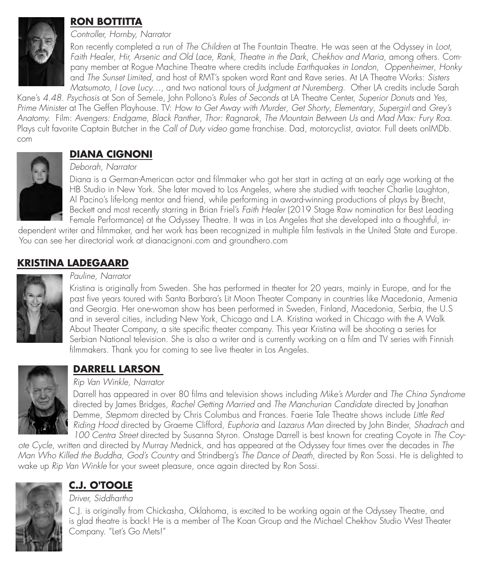

## **RON BOTTITTA**

*Controller, Hornby, Narrator*

Ron recently completed a run of *The Children* at The Fountain Theatre. He was seen at the Odyssey in *Loot*, *Faith Healer*, *Hir, Arsenic and Old Lace*, *Rank*, *Theatre in the Dark*, *Chekhov and Maria*, among others. Company member at Rogue Machine Theatre where credits include *Earthquakes in London*, *Oppenheimer*, *Honky*  and *The Sunset Limited*, and host of RMT's spoken word Rant and Rave series. At LA Theatre Works: *Sisters Matsumoto*, *I Love Lucy*…, and two national tours of *Judgment at Nuremberg*. Other LA credits include Sarah

Kane's *4.48. Psychosis* at Son of Semele, John Pollono's *Rules of Seconds* at LA Theatre Center, *Superior Donuts* and *Yes, Prime Minister* at The Geffen Playhouse. TV: *How to Get Away with Murder*, *Get Shorty*, *Elementary*, *Supergirl* and *Grey's Anatomy.* Film: *Avengers: Endgame*, *Black Panther*, *Thor: Ragnarok*, *The Mountain Between Us* and *Mad Max: Fury Roa*. Plays cult favorite Captain Butcher in the *Call of Duty video* game franchise. Dad, motorcyclist, aviator. Full deets onIMDb. com



## **DIANA CIGNONI**

## *Deborah, Narrator*

Diana is a German-American actor and filmmaker who got her start in acting at an early age working at the HB Studio in New York. She later moved to Los Angeles, where she studied with teacher Charlie Laughton, Al Pacino's life-long mentor and friend, while performing in award-winning productions of plays by Brecht, Beckett and most recently starring in Brian Friel's *Faith Healer* (2019 Stage Raw nomination for Best Leading Female Performance) at the Odyssey Theatre. It was in Los Angeles that she developed into a thoughtful, in-

dependent writer and filmmaker, and her work has been recognized in multiple film festivals in the United State and Europe. You can see her directorial work at dianacignoni.com and groundhero.com

## **KRISTINA LADEGAARD**



#### *Pauline, Narrator*

Kristina is originally from Sweden. She has performed in theater for 20 years, mainly in Europe, and for the past five years toured with Santa Barbara's Lit Moon Theater Company in countries like Macedonia, Armenia and Georgia. Her one-woman show has been performed in Sweden, Finland, Macedonia, Serbia, the U.S and in several cities, including New York, Chicago and L.A. Kristina worked in Chicago with the A Walk About Theater Company, a site specific theater company. This year Kristina will be shooting a series for Serbian National television. She is also a writer and is currently working on a film and TV series with Finnish filmmakers. Thank you for coming to see live theater in Los Angeles.



## **DARRELL LARSON**

#### *Rip Van Winkle, Narrator*

Darrell has appeared in over 80 films and television shows including *Mike's Murder* and *The China Syndrome* directed by James Bridges, *Rachel Getting Married* and *The Manchurian Candidate* directed by Jonathan Demme, *Stepmom* directed by Chris Columbus and Frances. Faerie Tale Theatre shows include *Little Red Riding Hood* directed by Graeme Clifford, *Euphoria* and *Lazarus Man* directed by John Binder, *Shadrach* and *100 Centra Street* directed by Susanna Styron. Onstage Darrell is best known for creating Coyote in *The Coy-*

*ote Cycle*, written and directed by Murray Mednick, and has appeared at the Odyssey four times over the decades in *The Man Who Killed the Buddha*, *God's Country* and Strindberg's *The Dance of Death*, directed by Ron Sossi. He is delighted to wake up *Rip Van Winkle* for your sweet pleasure, once again directed by Ron Sossi.



## **C.J. O'TOOLE**

### *Driver, Siddhartha*

C.J. is originally from Chickasha, Oklahoma, is excited to be working again at the Odyssey Theatre, and is glad theatre is back! He is a member of The Koan Group and the Michael Chekhov Studio West Theater Company. "Let's Go Mets!"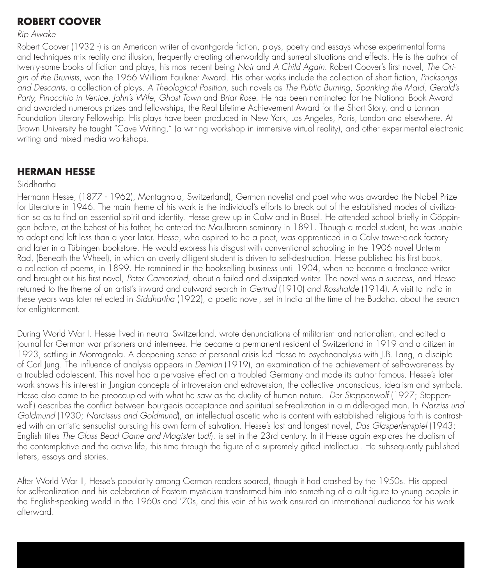## **ROBERT COOVER**

#### *Rip Awake*

Robert Coover (1932 -) is an American writer of avant-garde fiction, plays, poetry and essays whose experimental forms and techniques mix reality and illusion, frequently creating otherworldly and surreal situations and effects. He is the author of twenty-some books of fiction and plays, his most recent being *Noir* and *A Child Again*. Robert Coover's first novel, *The Origin of the Brunists*, won the 1966 William Faulkner Award. His other works include the collection of short fiction, *Pricksongs and Descants*, a collection of plays, *A Theological Position*, such novels as *The Public Burning*, *Spanking the Maid*, *Gerald's Party, Pinocchio in Venice*, *John's Wife*, *Ghost Town* and *Briar Rose*. He has been nominated for the National Book Award and awarded numerous prizes and fellowships, the Real Lifetime Achievement Award for the Short Story, and a Lannan Foundation Literary Fellowship. His plays have been produced in New York, Los Angeles, Paris, London and elsewhere. At Brown University he taught "Cave Writing," (a writing workshop in immersive virtual reality), and other experimental electronic writing and mixed media workshops.

## **HERMAN HESSE**

#### Siddhartha

Hermann Hesse, (1877 - 1962), Montagnola, Switzerland), German novelist and poet who was awarded the Nobel Prize for Literature in 1946. The main theme of his work is the individual's efforts to break out of the established modes of civilization so as to find an essential spirit and identity. Hesse grew up in Calw and in Basel. He attended school briefly in Göppingen before, at the behest of his father, he entered the Maulbronn seminary in 1891. Though a model student, he was unable to adapt and left less than a year later. Hesse, who aspired to be a poet, was apprenticed in a Calw tower-clock factory and later in a Tübingen bookstore. He would express his disgust with conventional schooling in the 1906 novel Unterm Rad, (Beneath the Wheel), in which an overly diligent student is driven to self-destruction. Hesse published his first book, a collection of poems, in 1899. He remained in the bookselling business until 1904, when he became a freelance writer and brought out his first novel, *Peter Camenzind*, about a failed and dissipated writer. The novel was a success, and Hesse returned to the theme of an artist's inward and outward search in *Gertrud* (1910) and *Rosshalde* (1914). A visit to India in these years was later reflected in *Siddhartha* (1922), a poetic novel, set in India at the time of the Buddha, about the search for enlightenment.

During World War I, Hesse lived in neutral Switzerland, wrote denunciations of militarism and nationalism, and edited a journal for German war prisoners and internees. He became a permanent resident of Switzerland in 1919 and a citizen in 1923, settling in Montagnola. A deepening sense of personal crisis led Hesse to psychoanalysis with J.B. Lang, a disciple of Carl Jung. The influence of analysis appears in *Demian* (1919), an examination of the achievement of self-awareness by a troubled adolescent. This novel had a pervasive effect on a troubled Germany and made its author famous. Hesse's later work shows his interest in Jungian concepts of introversion and extraversion, the collective unconscious, idealism and symbols. Hesse also came to be preoccupied with what he saw as the duality of human nature. *Der Steppenwolf* (1927; Steppenwolf ) describes the conflict between bourgeois acceptance and spiritual self-realization in a middle-aged man. In *Narziss und Goldmund* (1930; *Narcissus and Goldmund*), an intellectual ascetic who is content with established religious faith is contrasted with an artistic sensualist pursuing his own form of salvation. Hesse's last and longest novel, *Das Glasperlenspiel* (1943; English titles *The Glass Bead Game and Magister Ludi*), is set in the 23rd century. In it Hesse again explores the dualism of the contemplative and the active life, this time through the figure of a supremely gifted intellectual. He subsequently published letters, essays and stories.

After World War II, Hesse's popularity among German readers soared, though it had crashed by the 1950s. His appeal for self-realization and his celebration of Eastern mysticism transformed him into something of a cult figure to young people in the English-speaking world in the 1960s and '70s, and this vein of his work ensured an international audience for his work afterward.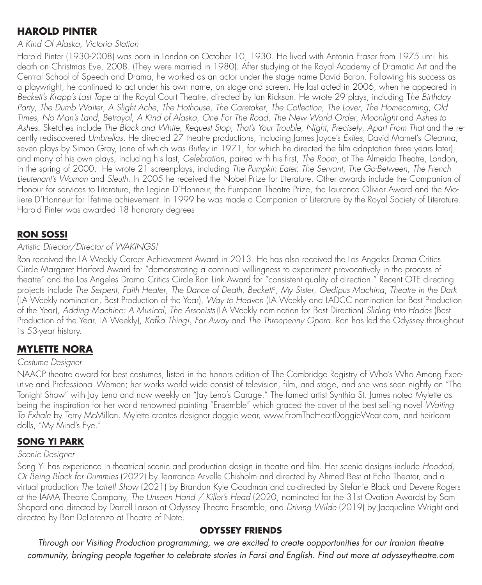## **HAROLD PINTER**

#### *A Kind Of Alaska, Victoria Station*

Harold Pinter (1930-2008) was born in London on October 10, 1930. He lived with Antonia Fraser from 1975 until his death on Christmas Eve, 2008. (They were married in 1980). After studying at the Royal Academy of Dramatic Art and the Central School of Speech and Drama, he worked as an actor under the stage name David Baron. Following his success as a playwright, he continued to act under his own name, on stage and screen. He last acted in 2006, when he appeared in *Beckett's Krapp's Last Tape* at the Royal Court Theatre, directed by Ian Rickson. He wrote 29 plays, including T*he Birthday Party*, *The Dumb Waiter*, *A Slight Ache*, *The Hothouse*, *The Caretaker*, *The Collection*, *The Lover*, *The Homecoming*, *Old Times*, *No Man's Land*, *Betrayal*, *A Kind of Alaska*, *One For The Road*, *The New World Order*, *Moonlight* and A*shes to Ashes*. Sketches include *The Black and White*, *Request Stop*, *That's Your Trouble*, *Night*, *Precisely*, *Apart From That* and the recently rediscovered *Umbrellas*. He directed 27 theatre productions, including James Joyce's *Exiles*, David Mamet's *Oleanna*, seven plays by Simon Gray, (one of which was *Butley* in 1971, for which he directed the film adaptation three years later), and many of his own plays, including his last, *Celebration*, paired with his first, *The Room*, at The Almeida Theatre, London, in the spring of 2000. He wrote 21 screenplays, including *The Pumpkin Eater, The Servant*, *The Go-Between*, *The French Lieutenant's Woman* and *Sleuth*. In 2005 he received the Nobel Prize for Literature. Other awards include the Companion of Honour for services to Literature, the Legion D'Honneur, the European Theatre Prize, the Laurence Olivier Award and the Moliere D'Honneur for lifetime achievement. In 1999 he was made a Companion of Literature by the Royal Society of Literature. Harold Pinter was awarded 18 honorary degrees

## **RON SOSSI**

#### *Artistic Director/Director of WAKINGS!*

Ron received the LA Weekly Career Achievement Award in 2013. He has also received the Los Angeles Drama Critics Circle Margaret Harford Award for "demonstrating a continual willingness to experiment provocatively in the process of theatre" and the Los Angeles Drama Critics Circle Ron Link Award for "consistent quality of direction." Recent OTE directing projects include *The Serpent, Faith Healer*, *The Dance of Death*, *Beckett5*, *My Sister*, *Oedipus Machina*, *Theatre in the Dark* (LA Weekly nomination, Best Production of the Year), *Way to Heaven* (LA Weekly and LADCC nomination for Best Production of the Year), *Adding Machine: A Musical*, *The Arsonists* (LA Weekly nomination for Best Direction) *Sliding Into Hades* (Best Production of the Year, LA Weekly), *Kafka Thing!*, *Far Away* and *The Threepenny Opera*. Ron has led the Odyssey throughout its 53-year history.

## **MYLETTE NORA**

#### *Costume Designer*

NAACP theatre award for best costumes, listed in the honors edition of The Cambridge Registry of Who's Who Among Executive and Professional Women; her works world wide consist of television, film, and stage, and she was seen nightly on "The Tonight Show" with Jay Leno and now weekly on "Jay Leno's Garage." The famed artist Synthia St. James noted Mylette as being the inspiration for her world renowned painting "Ensemble" which graced the cover of the best selling novel *Waiting To Exhale* by Terry McMillan. Mylette creates designer doggie wear, www.FromTheHeartDoggieWear.com, and heirloom dolls, "My Mind's Eye."

## **SONG YI PARK**

#### *Scenic Designer*

Song Yi has experience in theatrical scenic and production design in theatre and film. Her scenic designs include *Hooded, Or Being Black for Dummies* (2022) by Tearrance Arvelle Chisholm and directed by Ahmed Best at Echo Theater, and a virtual production *The Latrell Show* (2021) by Brandon Kyle Goodman and co-directed by Stefanie Black and Devere Rogers at the IAMA Theatre Company, *The Unseen Hand / Killer's Head* (2020, nominated for the 31st Ovation Awards) by Sam Shepard and directed by Darrell Larson at Odyssey Theatre Ensemble, and *Driving Wilde* (2019) by Jacqueline Wright and directed by Bart DeLorenzo at Theatre of Note.

### **ODYSSEY FRIENDS**

*Through our Visiting Production programming, we are excited to create oopportunities for our Iranian theatre community, bringing people together to celebrate stories in Farsi and English. Find out more at odysseytheatre.com*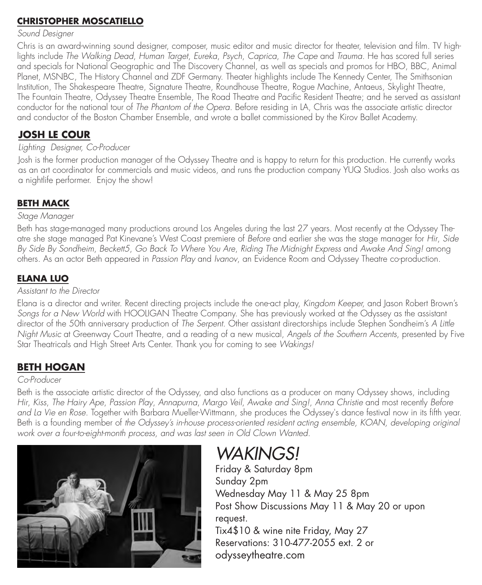## **CHRISTOPHER MOSCATIELLO**

#### *Sound Designer*

Chris is an award-winning sound designer, composer, music editor and music director for theater, television and film. TV highlights include *The Walking Dead*, *Human Target*, *Eureka*, *Psych*, *Caprica*, *The Cape* and *Trauma*. He has scored full series and specials for National Geographic and The Discovery Channel, as well as specials and promos for HBO, BBC, Animal Planet, MSNBC, The History Channel and ZDF Germany. Theater highlights include The Kennedy Center, The Smithsonian Institution, The Shakespeare Theatre, Signature Theatre, Roundhouse Theatre, Rogue Machine, Antaeus, Skylight Theatre, The Fountain Theatre, Odyssey Theatre Ensemble, The Road Theatre and Pacific Resident Theatre; and he served as assistant conductor for the national tour of *The Phantom of the Opera*. Before residing in LA, Chris was the associate artistic director and conductor of the Boston Chamber Ensemble, and wrote a ballet commissioned by the Kirov Ballet Academy.

## **JOSH LE COUR**

## *Lighting Designer, Co-Producer*

Josh is the former production manager of the Odyssey Theatre and is happy to return for this production. He currently works as an art coordinator for commercials and music videos, and runs the production company YUQ Studios. Josh also works as a nightlife performer. Enjoy the show!

## **BETH MACK**

#### *Stage Manager*

Beth has stage-managed many productions around Los Angeles during the last 27 years. Most recently at the Odyssey Theatre she stage managed Pat Kinevane's West Coast premiere of *Before* and earlier she was the stage manager for *Hir*, *Side By Side By Sondheim*, *Beckett5*, *Go Back To Where You Are*, *Riding The Midnight Express* and *Awake And Sing!* among others. As an actor Beth appeared in *Passion Play* and *Ivanov*, an Evidence Room and Odyssey Theatre co-production.

## **ELANA LUO**

#### *Assistant to the Director*

Elana is a director and writer. Recent directing projects include the one-act play, *Kingdom Keeper,* and Jason Robert Brown's *Songs for a New World* with HOOLIGAN Theatre Company. She has previously worked at the Odyssey as the assistant director of the 50th anniversary production of *The Serpent*. Other assistant directorships include Stephen Sondheim's *A Little Night Music* at Greenway Court Theatre, and a reading of a new musical, *Angels of the Southern Accents*, presented by Five Star Theatricals and High Street Arts Center. Thank you for coming to see *Wakings!*

## **BETH HOGAN**

#### *Co-Producer*

Beth is the associate artistic director of the Odyssey, and also functions as a producer on many Odyssey shows, including *Hir*, *Kiss*, *The Hairy Ape*, *Passion Play*, *Annapurna*, *Margo Veil*, *Awake and Sing!*, *Anna Christie* and most recently *Before and La Vie en Rose*. Together with Barbara Mueller-Wittmann, she produces the Odyssey's dance festival now in its fifth year. Beth is a founding member of *the Odyssey's in-house process-oriented resident acting ensemble, KOAN, developing original work over a four-to-eight-month process, and was last seen in Old Clown Wanted.*



# *WAKINGS!*

Friday & Saturday 8pm Sunday 2pm Wednesday May 11 & May 25 8pm Post Show Discussions May 11 & May 20 or upon request. Tix4\$10 & wine nite Friday, May 27 Reservations: 310-477-2055 ext. 2 or odysseytheatre.com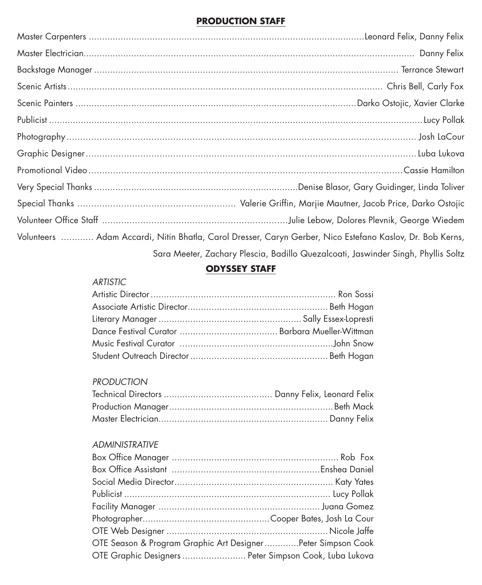## **PRODUCTION STAFF**

| Volunteers  Adam Accardi, Nitin Bhatla, Carol Dresser, Caryn Gerber, Nico Estefano Kaslov, Dr. Bob Kerns, |  |  |
|-----------------------------------------------------------------------------------------------------------|--|--|
| Sara Meeter, Zachary Plescia, Badillo Quezalcoati, Jaswinder Singh, Phyllis Soltz                         |  |  |

## **ODYSSEY STAFF**

#### *ARTISTIC*

## *PRODUCTION*

## *ADMINISTRATIVE*

| OTE Season & Program Graphic Art Designer Peter Simpson Cook |  |
|--------------------------------------------------------------|--|
| OTE Graphic Designers  Peter Simpson Cook, Luba Lukova       |  |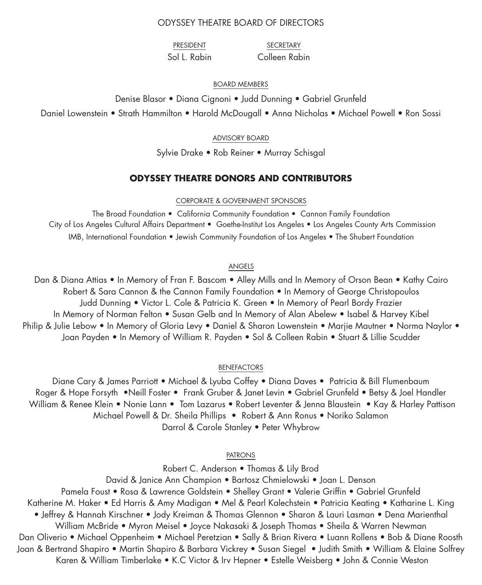#### ODYSSEY THEATRE BOARD OF DIRECTORS

PRESIDENT Sol L. Rabin

SECRETARY Colleen Rabin

#### BOARD MEMBERS

Denise Blasor • Diana Cignoni • Judd Dunning • Gabriel Grunfeld

Daniel Lowenstein • Strath Hammilton • Harold McDougall • Anna Nicholas • Michael Powell • Ron Sossi

#### ADVISORY BOARD

Sylvie Drake • Rob Reiner • Murray Schisgal

#### **ODYSSEY THEATRE DONORS AND CONTRIBUTORS**

#### CORPORATE & GOVERNMENT SPONSORS

The Broad Foundation • California Community Foundation • Cannon Family Foundation City of Los Angeles Cultural Affairs Department • Goethe-Institut Los Angeles • Los Angeles County Arts Commission IMB, International Foundation • Jewish Community Foundation of Los Angeles • The Shubert Foundation

#### ANGELS

Dan & Diana Attias • In Memory of Fran F. Bascom • Alley Mills and In Memory of Orson Bean • Kathy Cairo Robert & Sara Cannon & the Cannon Family Foundation • In Memory of George Christopoulos Judd Dunning • Victor L. Cole & Patricia K. Green • In Memory of Pearl Bordy Frazier In Memory of Norman Felton • Susan Gelb and In Memory of Alan Abelew • Isabel & Harvey Kibel Philip & Julie Lebow • In Memory of Gloria Levy • Daniel & Sharon Lowenstein • Marjie Mautner • Norma Naylor • Joan Payden • In Memory of William R. Payden • Sol & Colleen Rabin • Stuart & Lillie Scudder

#### BENEFACTORS

Diane Cary & James Parriott • Michael & Lyuba Coffey • Diana Daves • Patricia & Bill Flumenbaum Roger & Hope Forsyth •Neill Foster • Frank Gruber & Janet Levin • Gabriel Grunfeld • Betsy & Joel Handler William & Renee Klein • Nonie Lann • Tom Lazarus • Robert Leventer & Jenna Blaustein • Kay & Harley Pattison Michael Powell & Dr. Sheila Phillips • Robert & Ann Ronus • Noriko Salamon Darrol & Carole Stanley • Peter Whybrow

#### PATRONS

Robert C. Anderson • Thomas & Lily Brod David & Janice Ann Champion • Bartosz Chmielowski • Joan L. Denson Pamela Foust • Rosa & Lawrence Goldstein • Shelley Grant • Valerie Griffin • Gabriel Grunfeld Katherine M. Haker • Ed Harris & Amy Madigan • Mel & Pearl Kalechstein • Patricia Keating • Katharine L. King • Jeffrey & Hannah Kirschner • Jody Kreiman & Thomas Glennon • Sharon & Lauri Lasman • Dena Marienthal William McBride • Myron Meisel • Joyce Nakasaki & Joseph Thomas • Sheila & Warren Newman Dan Oliverio • Michael Oppenheim • Michael Peretzian • Sally & Brian Rivera • Luann Rollens • Bob & Diane Roosth Joan & Bertrand Shapiro • Martin Shapiro & Barbara Vickrey • Susan Siegel • Judith Smith • William & Elaine Solfrey Karen & William Timberlake • K.C Victor & Irv Hepner • Estelle Weisberg • John & Connie Weston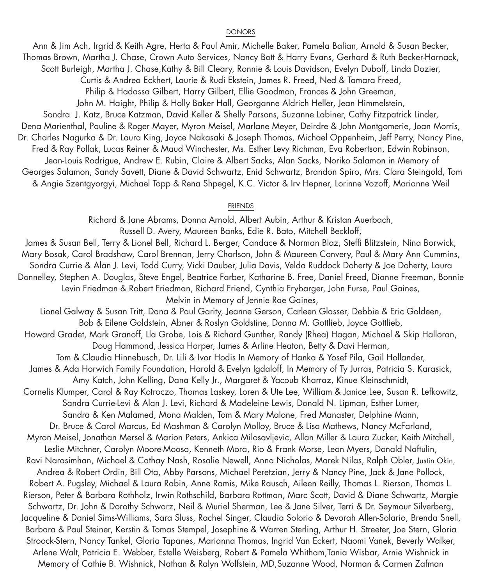#### DONORS

Ann & Jim Ach, Irgrid & Keith Agre, Herta & Paul Amir, Michelle Baker, Pamela Balian, Arnold & Susan Becker, Thomas Brown, Martha J. Chase, Crown Auto Services, Nancy Bott & Harry Evans, Gerhard & Ruth Becker-Harnack, Scott Burleigh, Martha J. Chase,Kathy & Bill Cleary, Ronnie & Louis Davidson, Evelyn Duboff, Linda Dozier, Curtis & Andrea Eckhert, Laurie & Rudi Ekstein, James R. Freed, Ned & Tamara Freed, Philip & Hadassa Gilbert, Harry Gilbert, Ellie Goodman, Frances & John Greeman, John M. Haight, Philip & Holly Baker Hall, Georganne Aldrich Heller, Jean Himmelstein, Sondra J. Katz, Bruce Katzman, David Keller & Shelly Parsons, Suzanne Labiner, Cathy Fitzpatrick Linder, Dena Marienthal, Pauline & Roger Mayer, Myron Meisel, Marlane Meyer, Deirdre & John Montgomerie, Joan Morris, Dr. Charles Nagurka & Dr. Laura King, Joyce Nakasaki & Joseph Thomas, Michael Oppenheim, Jeff Perry, Nancy Pine, Fred & Ray Pollak, Lucas Reiner & Maud Winchester, Ms. Esther Levy Richman, Eva Robertson, Edwin Robinson, Jean-Louis Rodrigue, Andrew E. Rubin, Claire & Albert Sacks, Alan Sacks, Noriko Salamon in Memory of Georges Salamon, Sandy Savett, Diane & David Schwartz, Enid Schwartz, Brandon Spiro, Mrs. Clara Steingold, Tom & Angie Szentgyorgyi, Michael Topp & Rena Shpegel, K.C. Victor & Irv Hepner, Lorinne Vozoff, Marianne Weil

### FRIENDS Richard & Jane Abrams, Donna Arnold, Albert Aubin, Arthur & Kristan Auerbach,

Russell D. Avery, Maureen Banks, Edie R. Bato, Mitchell Beckloff, James & Susan Bell, Terry & Lionel Bell, Richard L. Berger, Candace & Norman Blaz, Steffi Blitzstein, Nina Borwick, Mary Bosak, Carol Bradshaw, Carol Brennan, Jerry Charlson, John & Maureen Convery, Paul & Mary Ann Cummins, Sondra Currie & Alan J. Levi, Todd Curry, Vicki Dauber, Julia Davis, Velda Ruddock Doherty & Joe Doherty, Laura Donnelley, Stephen A. Douglas, Steve Engel, Beatrice Farber, Katharine B. Free, Daniel Freed, Dianne Freeman, Bonnie Levin Friedman & Robert Friedman, Richard Friend, Cynthia Frybarger, John Furse, Paul Gaines, Melvin in Memory of Jennie Rae Gaines, Lionel Galway & Susan Tritt, Dana & Paul Garity, Jeanne Gerson, Carleen Glasser, Debbie & Eric Goldeen, Bob & Eilene Goldstein, Abner & Roslyn Goldstine, Donna M. Gottlieb, Joyce Gottlieb, Howard Gradet, Mark Granoff, Lla Grobe, Lois & Richard Gunther, Randy (Rhea) Hagan, Michael & Skip Halloran, Doug Hammond, Jessica Harper, James & Arline Heaton, Betty & Davi Herman, Tom & Claudia Hinnebusch, Dr. Lili & Ivor Hodis In Memory of Hanka & Yosef Pila, Gail Hollander, James & Ada Horwich Family Foundation, Harold & Evelyn Igdaloff, In Memory of Ty Jurras, Patricia S. Karasick, Amy Katch, John Kelling, Dana Kelly Jr., Margaret & Yacoub Kharraz, Kinue Kleinschmidt, Cornelis Klumper, Carol & Ray Kotroczo, Thomas Laskey, Loren & Ute Lee, William & Janice Lee, Susan R. Lefkowitz, Sandra Currie-Levi & Alan J. Levi, Richard & Madeleine Lewis, Donald N. Lipman, Esther Lumer, Sandra & Ken Malamed, Mona Malden, Tom & Mary Malone, Fred Manaster, Delphine Mann, Dr. Bruce & Carol Marcus, Ed Mashman & Carolyn Molloy, Bruce & Lisa Mathews, Nancy McFarland, Myron Meisel, Jonathan Mersel & Marion Peters, Ankica Milosavljevic, Allan Miller & Laura Zucker, Keith Mitchell, Leslie Mitchner, Carolyn Moore-Mooso, Kenneth Mora, Rio & Frank Morse, Leon Myers, Donald Naftulin, Ravi Narasimhan, Michael & Cathay Nash, Rosalie Newell, Anna Nicholas, Marek Nilas, Ralph Obler, Justin Okin, Andrea & Robert Ordin, Bill Ota, Abby Parsons, Michael Peretzian, Jerry & Nancy Pine, Jack & Jane Pollock, Robert A. Pugsley, Michael & Laura Rabin, Anne Ramis, Mike Rausch, Aileen Reilly, Thomas L. Rierson, Thomas L. Rierson, Peter & Barbara Rothholz, Irwin Rothschild, Barbara Rottman, Marc Scott, David & Diane Schwartz, Margie Schwartz, Dr. John & Dorothy Schwarz, Neil & Muriel Sherman, Lee & Jane Silver, Terri & Dr. Seymour Silverberg, Jacqueline & Daniel Sims-Williams, Sara Sluss, Rachel Singer, Claudia Solorio & Devorah Allen-Solario, Brenda Snell, Barbara & Paul Steiner, Kerstin & Tomas Stempel, Josephine & Warren Sterling, Arthur H. Streeter, Joe Stern, Gloria Stroock-Stern, Nancy Tankel, Gloria Tapanes, Marianna Thomas, Ingrid Van Eckert, Naomi Vanek, Beverly Walker, Arlene Walt, Patricia E. Webber, Estelle Weisberg, Robert & Pamela Whitham,Tania Wisbar, Arnie Wishnick in Memory of Cathie B. Wishnick, Nathan & Ralyn Wolfstein, MD,Suzanne Wood, Norman & Carmen Zafman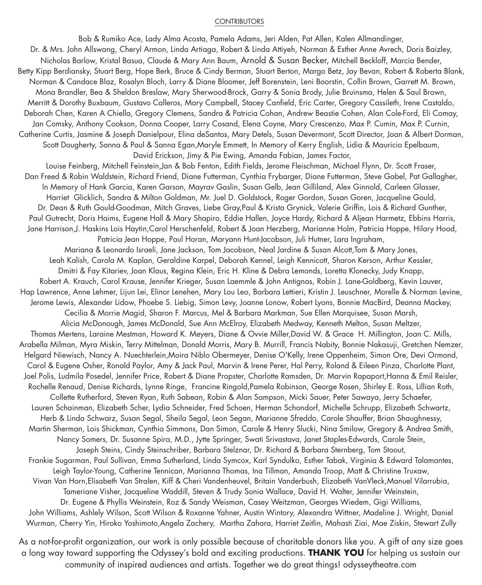#### CONTRIBUTORS

Bob & Rumiko Ace, Lady Alma Acosta, Pamela Adams, Jeri Alden, Pat Allen, Kalen Allmandinger, Dr. & Mrs. John Allswang, Cheryl Armon, Linda Artiaga, Robert & Linda Attiyeh, Norman & Esther Anne Avrech, Doris Baizley, Nicholas Barlow, Kristal Basua, Claude & Mary Ann Baum, Arnold & Susan Becker, Mitchell Beckloff, Marcia Bender, Betty Kipp Berdiansky, Stuart Berg, Hope Berk, Bruce & Cindy Berman, Stuart Berton, Margo Betz, Jay Bevan, Robert & Roberta Blank, Norman & Candace Blaz, Rosalyn Bloch, Larry & Diane Bloomer, Jeff Borenstein, Leni Boorstin, Collin Brown, Garrett M. Brown, Mona Brandler, Bea & Sheldon Breslaw, Mary Sherwood-Brock, Garry & Sonia Brody, Julie Bruinsma, Helen & Saul Brown, Merritt & Dorothy Buxbaum, Gustavo Calleros, Mary Campbell, Stacey Canfield, Eric Carter, Gregory Cassileth, Irene Castaldo, Deborah Chen, Karen A Chiella, Gregory Clemens, Sandra & Patricia Cohan, Andrew Beastie Cohen, Alan Cole-Ford, Eli Comay, Jan Comsky, Anthony Cookson, Donna Cooper, Larry Cosand, Elena Coyne, Mary Crescenzo, Max P. Cumin, Max P. Curnin, Catherine Curtis, Jasmine & Joseph Danielpour, Elina deSantos, Mary Detels, Susan Devermont, Scott Director, Joan & Albert Dorman, Scott Dougherty, Sanna & Paul & Sanna Egan,Maryle Emmett, In Memory of Kerry English, Lidia & Mauricio Epelbaum, David Erickson, Jimy & Pie Ewing, Amanda Fabian, James Factor, Louise Feinberg, Mitchell Feinstein,Jan & Bob Fenton, Edith Fields, Jerome Fleischman, Michael Flynn, Dr. Scott Fraser, Dan Freed & Robin Waldstein, Richard Friend, Diane Futterman, Cynthia Frybarger, Diane Futterman, Steve Gabel, Pat Gallagher, In Memory of Hank Garcia, Karen Garson, Mayrav Gaslin, Susan Gelb, Jean Gilliland, Alex Ginnold, Carleen Glasser, Harriet Glicklich, Sandra & Milton Goldman, Mr. Juel D. Goldstock, Roger Gordon, Susan Goren, Jacqueline Gould, Dr. Dean & Ruth Gould-Goodman, Mitch Graves, Liebe Gray,Paul & Krista Grynick, Valerie Griffin, Lois & Richard Gunther, Paul Gutrecht, Doris Haims, Eugene Hall & Mary Shapiro, Eddie Hallen, Joyce Hardy, Richard & Aljean Harmetz, Ebbins Harris, Jane Harrison,J. Haskins Lois Haytin,Carol Herschenfeld, Robert & Joan Herzberg, Marianne Holm, Patricia Hoppe, Hilary Hood, Patricia Jean Hoppe, Paul Horan, Maryann Hunt-Jacobson, Juli Hutner, Lara Ingraham, Mariana & Leonardo Israeli, Jane Jackson, Tom Jacobson, Neal Jardine & Susan Alcott,Tom & Mary Jones, Leah Kalish, Carola M. Kaplan, Geraldine Karpel, Deborah Kennel, Leigh Kennicott, Sharon Kerson, Arthur Kessler, Dmitri & Fay Kitariev, Joan Klaus, Regina Klein, Eric H. Kline & Debra Lemonds, Loretta Klonecky, Judy Knapp, Robert A. Krauch, Carol Krause, Jennifer Krieger, Susan Laemmle & John Antignas, Robin J. Lane-Goldberg, Kevin Lauver, Hap Lawrence, Anne Lehmer, Lijun Lei, Elinor Lenehen, Mary Lou Leo, Barbara Lettieri, Kristin J. Leuschner, Morelle & Norman Levine, Jerome Lewis, Alexander Lidow, Phoebe S. Liebig, Simon Levy, Joanne Lonow, Robert Lyons, Bonnie MacBird, Deanna Mackey, Cecilia & Morrie Magid, Sharon F. Marcus, Mel & Barbara Markman, Sue Ellen Marquisee, Susan Marsh, Alicia McDonough, James McDonald, Sue Ann McElroy, Elizabeth Medway, Kenneth Melton, Susan Meltzer, Thomas Mertens, Laraine Mestman, Howard K. Meyers, Diane & Ovvie Miller,David W. & Grace H. Millington, Joan C. Mills, Arabella Milman, Myra Miskin, Terry Mittelman, Donald Morris, Mary B. Murrill, Francis Nabity, Bonnie Nakasuji, Gretchen Nemzer, Helgard Niewisch, Nancy A. Nuechterlein,Moira Niblo Obermeyer, Denise O'Kelly, Irene Oppenheim, Simon Ore, Devi Ormond, Carol & Eugene Osher, Ronald Paylor, Amy & Jack Paul, Marvin & Irene Perer, Hal Perry, Roland & Eileen Pinza, Charlotte Plant, Joel Polis, Ludmila Posedel, Jennifer Price, Robert & Diane Propster, Charlotte Ramsden, Dr. Marvin Rapaport,Hanna & Emil Reisler, Rochelle Renaud, Denise Richards, Lynne Ringe, Francine Ringold,Pamela Robinson, George Rosen, Shirley E. Ross, Lillian Roth, Collette Rutherford, Steven Ryan, Ruth Sabean, Robin & Alan Sampson, Micki Sauer, Peter Sawaya, Jerry Schaefer, Lauren Schainman, Elizabeth Scher, Lydia Schneider, Fred Schoen, Herman Schondorf, Michelle Schrupp, Elizabeth Schwartz, Herb & Linda Schwarz, Susan Segal, Sheila Segal, Leon Segan, Marianne Sfreddo, Carole Shauffer, Brian Shaughnessy, Martin Sherman, Lois Shickman, Cynthia Simmons, Dan Simon, Carole & Henry Slucki, Nina Smilow, Gregory & Andrea Smith, Nancy Somers, Dr. Susanne Spira, M.D., Jytte Springer, Swati Srivastava, Janet Staples-Edwards, Carole Stein, Joseph Steins, Cindy Steinschriber, Barbara Stelznar, Dr. Richard & Barbara Sternberg, Tom Stoout, Frankie Sugarman, Paul Sullivan, Emma Sutherland, Linda Symcox, Karl Syndulko, Esther Tabak, Virginia & Edward Talamantes, Leigh Taylor-Young, Catherine Tennican, Marianna Thomas, Ina Tillman, Amanda Troop, Matt & Christine Truxaw, Vivan Van Horn,Elisabeth Van Stralen, Kiff & Cheri Vandenheuvel, Britain Vanderbush, Elizabeth VanVleck,Manuel Vilarrubia, Tameriane Visher, Jacqueline Waddill, Steven & Trudy Sonia Wallace, David H. Walter, Jennifer Weinstein, Dr. Eugene & Phyllis Weinstein, Roz & Sandy Weisman, Casey Weitzman, Georges Wiedem, Gigi Williams, John Williams, Ashlely Wilson, Scott Wilson & Roxanne Yahner, Austin Wintory, Alexandra Wittner, Madeline J. Wright, Daniel Wurman, Cherry Yin, Hiroko Yoshimoto,Angela Zachery, Martha Zahara, Harriet Zeitlin, Mahasti Ziai, Mae Ziskin, Stewart Zully

As a not-for-profit organization, our work is only possible because of charitable donors like you. A gift of any size goes a long way toward supporting the Odyssey's bold and exciting productions. **THANK YOU** for helping us sustain our community of inspired audiences and artists. Together we do great things! odysseytheatre.com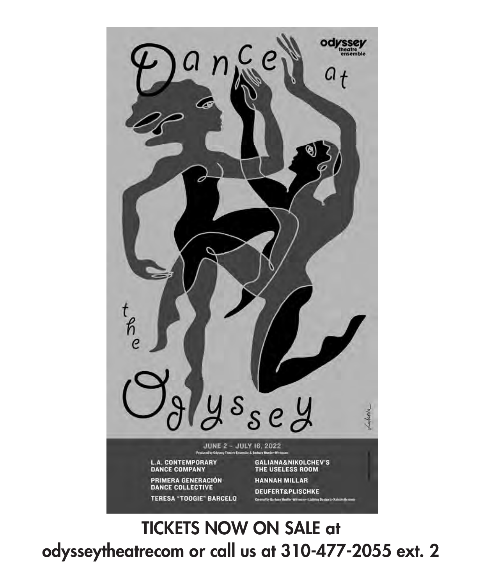